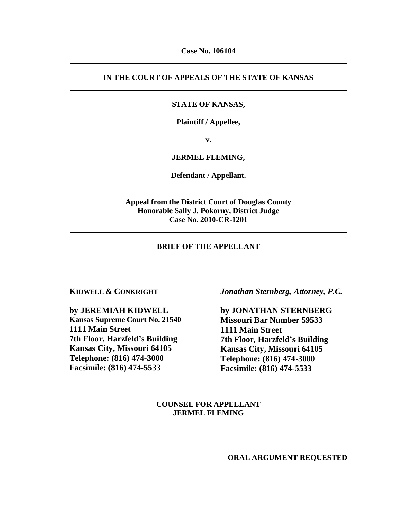# **IN THE COURT OF APPEALS OF THE STATE OF KANSAS**

## **STATE OF KANSAS,**

**Plaintiff / Appellee,**

**v.**

## **JERMEL FLEMING,**

**Defendant / Appellant.**

# **Appeal from the District Court of Douglas County Honorable Sally J. Pokorny, District Judge Case No. 2010-CR-1201**

#### **BRIEF OF THE APPELLANT**

### **KIDWELL & CONKRIGHT**

**by JEREMIAH KIDWELL Kansas Supreme Court No. 21540 1111 Main Street 7th Floor, Harzfeld's Building Kansas City, Missouri 64105 Telephone: (816) 474-3000 Facsimile: (816) 474-5533**

*Jonathan Sternberg, Attorney, P.C.*

**by JONATHAN STERNBERG Missouri Bar Number 59533 1111 Main Street 7th Floor, Harzfeld's Building Kansas City, Missouri 64105 Telephone: (816) 474-3000 Facsimile: (816) 474-5533**

**COUNSEL FOR APPELLANT JERMEL FLEMING**

**ORAL ARGUMENT REQUESTED**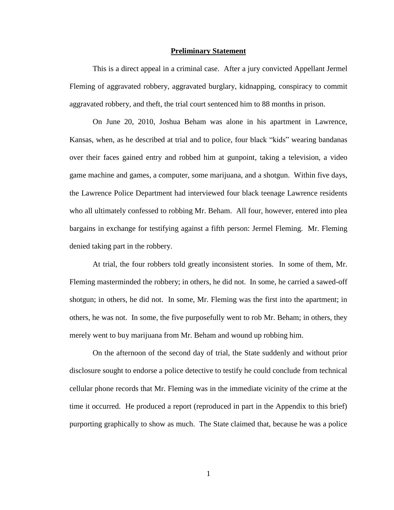#### **Preliminary Statement**

This is a direct appeal in a criminal case. After a jury convicted Appellant Jermel Fleming of aggravated robbery, aggravated burglary, kidnapping, conspiracy to commit aggravated robbery, and theft, the trial court sentenced him to 88 months in prison.

On June 20, 2010, Joshua Beham was alone in his apartment in Lawrence, Kansas, when, as he described at trial and to police, four black "kids" wearing bandanas over their faces gained entry and robbed him at gunpoint, taking a television, a video game machine and games, a computer, some marijuana, and a shotgun. Within five days, the Lawrence Police Department had interviewed four black teenage Lawrence residents who all ultimately confessed to robbing Mr. Beham. All four, however, entered into plea bargains in exchange for testifying against a fifth person: Jermel Fleming. Mr. Fleming denied taking part in the robbery.

At trial, the four robbers told greatly inconsistent stories. In some of them, Mr. Fleming masterminded the robbery; in others, he did not. In some, he carried a sawed-off shotgun; in others, he did not. In some, Mr. Fleming was the first into the apartment; in others, he was not. In some, the five purposefully went to rob Mr. Beham; in others, they merely went to buy marijuana from Mr. Beham and wound up robbing him.

On the afternoon of the second day of trial, the State suddenly and without prior disclosure sought to endorse a police detective to testify he could conclude from technical cellular phone records that Mr. Fleming was in the immediate vicinity of the crime at the time it occurred. He produced a report (reproduced in part in the Appendix to this brief) purporting graphically to show as much. The State claimed that, because he was a police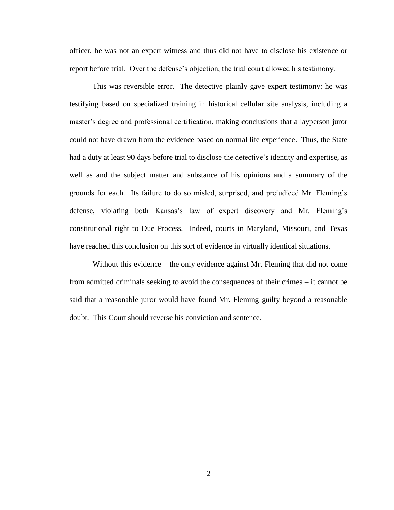officer, he was not an expert witness and thus did not have to disclose his existence or report before trial. Over the defense's objection, the trial court allowed his testimony.

This was reversible error. The detective plainly gave expert testimony: he was testifying based on specialized training in historical cellular site analysis, including a master's degree and professional certification, making conclusions that a layperson juror could not have drawn from the evidence based on normal life experience. Thus, the State had a duty at least 90 days before trial to disclose the detective's identity and expertise, as well as and the subject matter and substance of his opinions and a summary of the grounds for each. Its failure to do so misled, surprised, and prejudiced Mr. Fleming's defense, violating both Kansas's law of expert discovery and Mr. Fleming's constitutional right to Due Process. Indeed, courts in Maryland, Missouri, and Texas have reached this conclusion on this sort of evidence in virtually identical situations.

Without this evidence – the only evidence against Mr. Fleming that did not come from admitted criminals seeking to avoid the consequences of their crimes – it cannot be said that a reasonable juror would have found Mr. Fleming guilty beyond a reasonable doubt. This Court should reverse his conviction and sentence.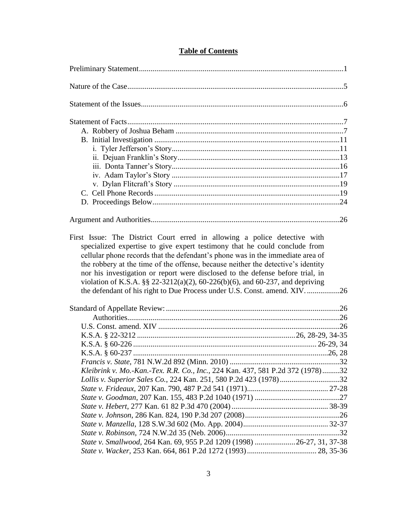| cellular phone records that the defendant's phone was in the immediate area of<br>the robbery at the time of the offense, because neither the detective's identity<br>nor his investigation or report were disclosed to the defense before trial, in<br>violation of K.S.A. §§ 22-3212(a)(2), 60-226(b)(6), and 60-237, and depriving<br>the defendant of his right to Due Process under U.S. Const. amend. XIV26 |  |
|-------------------------------------------------------------------------------------------------------------------------------------------------------------------------------------------------------------------------------------------------------------------------------------------------------------------------------------------------------------------------------------------------------------------|--|
|                                                                                                                                                                                                                                                                                                                                                                                                                   |  |
|                                                                                                                                                                                                                                                                                                                                                                                                                   |  |
|                                                                                                                                                                                                                                                                                                                                                                                                                   |  |
|                                                                                                                                                                                                                                                                                                                                                                                                                   |  |
|                                                                                                                                                                                                                                                                                                                                                                                                                   |  |
|                                                                                                                                                                                                                                                                                                                                                                                                                   |  |
|                                                                                                                                                                                                                                                                                                                                                                                                                   |  |
| Kleibrink v. Mo.-Kan.-Tex. R.R. Co., Inc., 224 Kan. 437, 581 P.2d 372 (1978)32                                                                                                                                                                                                                                                                                                                                    |  |
| Lollis v. Superior Sales Co., 224 Kan. 251, 580 P.2d 423 (1978)32                                                                                                                                                                                                                                                                                                                                                 |  |
|                                                                                                                                                                                                                                                                                                                                                                                                                   |  |
|                                                                                                                                                                                                                                                                                                                                                                                                                   |  |
|                                                                                                                                                                                                                                                                                                                                                                                                                   |  |
|                                                                                                                                                                                                                                                                                                                                                                                                                   |  |
|                                                                                                                                                                                                                                                                                                                                                                                                                   |  |
|                                                                                                                                                                                                                                                                                                                                                                                                                   |  |
| State v. Smallwood, 264 Kan. 69, 955 P.2d 1209 (1998) 26-27, 31, 37-38                                                                                                                                                                                                                                                                                                                                            |  |
|                                                                                                                                                                                                                                                                                                                                                                                                                   |  |

# **Table of Contents**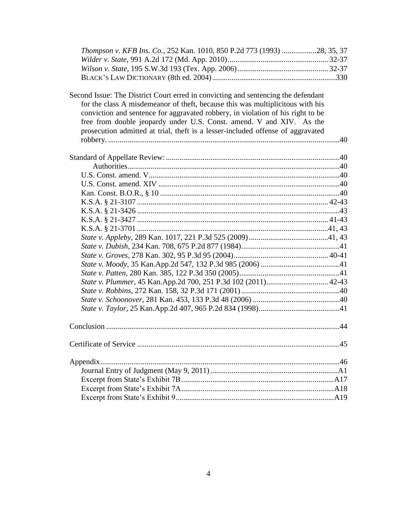| Thompson v. KFB Ins. Co., 252 Kan. 1010, 850 P.2d 773 (1993) 28, 35, 37           |  |
|-----------------------------------------------------------------------------------|--|
|                                                                                   |  |
|                                                                                   |  |
|                                                                                   |  |
|                                                                                   |  |
| Second Issue: The District Court erred in convicting and sentencing the defendant |  |
| for the class A misdemeanor of theft, because this was multiplicitous with his    |  |
| conviction and sentence for aggravated robbery, in violation of his right to be   |  |
| free from double jeopardy under U.S. Const. amend. V and XIV. As the              |  |
| prosecution admitted at trial, theft is a lesser-included offense of aggravated   |  |
|                                                                                   |  |
|                                                                                   |  |
|                                                                                   |  |
|                                                                                   |  |
|                                                                                   |  |
|                                                                                   |  |
|                                                                                   |  |
|                                                                                   |  |
|                                                                                   |  |
|                                                                                   |  |
|                                                                                   |  |
|                                                                                   |  |
|                                                                                   |  |
|                                                                                   |  |
|                                                                                   |  |
|                                                                                   |  |
|                                                                                   |  |
|                                                                                   |  |
|                                                                                   |  |
|                                                                                   |  |
|                                                                                   |  |
|                                                                                   |  |
|                                                                                   |  |
|                                                                                   |  |
|                                                                                   |  |
|                                                                                   |  |
|                                                                                   |  |
|                                                                                   |  |
|                                                                                   |  |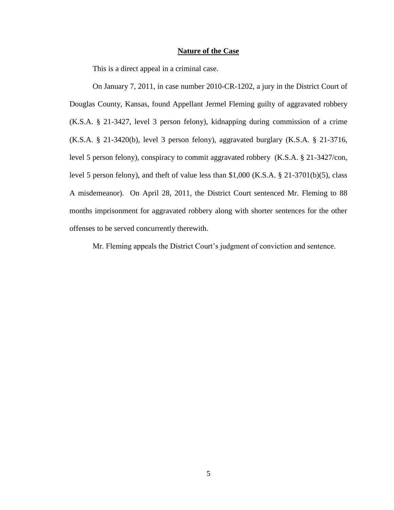#### **Nature of the Case**

This is a direct appeal in a criminal case.

On January 7, 2011, in case number 2010-CR-1202, a jury in the District Court of Douglas County, Kansas, found Appellant Jermel Fleming guilty of aggravated robbery (K.S.A. § 21-3427, level 3 person felony), kidnapping during commission of a crime (K.S.A. § 21-3420(b), level 3 person felony), aggravated burglary (K.S.A. § 21-3716, level 5 person felony), conspiracy to commit aggravated robbery (K.S.A. § 21-3427/con, level 5 person felony), and theft of value less than \$1,000 (K.S.A. § 21-3701(b)(5), class A misdemeanor). On April 28, 2011, the District Court sentenced Mr. Fleming to 88 months imprisonment for aggravated robbery along with shorter sentences for the other offenses to be served concurrently therewith.

Mr. Fleming appeals the District Court's judgment of conviction and sentence.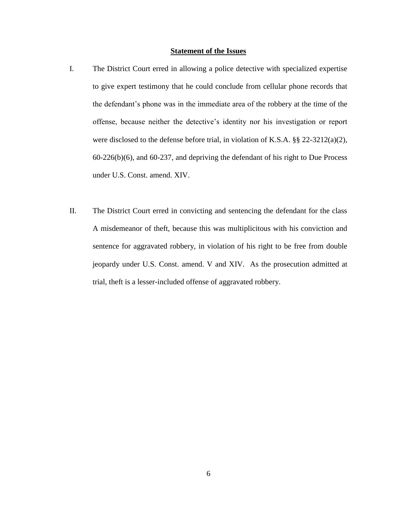## **Statement of the Issues**

- I. The District Court erred in allowing a police detective with specialized expertise to give expert testimony that he could conclude from cellular phone records that the defendant's phone was in the immediate area of the robbery at the time of the offense, because neither the detective's identity nor his investigation or report were disclosed to the defense before trial, in violation of K.S.A. §§ 22-3212(a)(2), 60-226(b)(6), and 60-237, and depriving the defendant of his right to Due Process under U.S. Const. amend. XIV.
- II. The District Court erred in convicting and sentencing the defendant for the class A misdemeanor of theft, because this was multiplicitous with his conviction and sentence for aggravated robbery, in violation of his right to be free from double jeopardy under U.S. Const. amend. V and XIV. As the prosecution admitted at trial, theft is a lesser-included offense of aggravated robbery.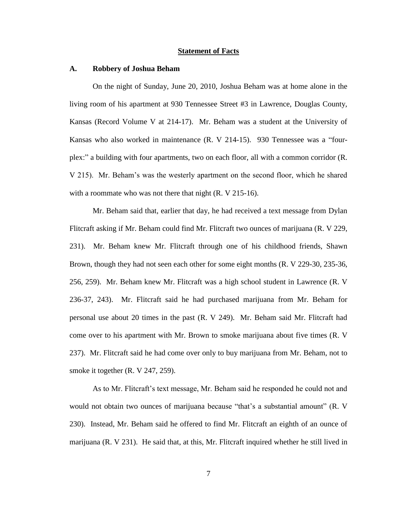#### **Statement of Facts**

#### **A. Robbery of Joshua Beham**

On the night of Sunday, June 20, 2010, Joshua Beham was at home alone in the living room of his apartment at 930 Tennessee Street #3 in Lawrence, Douglas County, Kansas (Record Volume V at 214-17). Mr. Beham was a student at the University of Kansas who also worked in maintenance (R. V 214-15). 930 Tennessee was a "fourplex:" a building with four apartments, two on each floor, all with a common corridor (R. V 215). Mr. Beham's was the westerly apartment on the second floor, which he shared with a roommate who was not there that night (R. V 215-16).

Mr. Beham said that, earlier that day, he had received a text message from Dylan Flitcraft asking if Mr. Beham could find Mr. Flitcraft two ounces of marijuana (R. V 229, 231). Mr. Beham knew Mr. Flitcraft through one of his childhood friends, Shawn Brown, though they had not seen each other for some eight months (R. V 229-30, 235-36, 256, 259). Mr. Beham knew Mr. Flitcraft was a high school student in Lawrence (R. V 236-37, 243). Mr. Flitcraft said he had purchased marijuana from Mr. Beham for personal use about 20 times in the past (R. V 249). Mr. Beham said Mr. Flitcraft had come over to his apartment with Mr. Brown to smoke marijuana about five times (R. V 237). Mr. Flitcraft said he had come over only to buy marijuana from Mr. Beham, not to smoke it together (R. V 247, 259).

As to Mr. Flitcraft's text message, Mr. Beham said he responded he could not and would not obtain two ounces of marijuana because "that's a substantial amount" (R. V 230). Instead, Mr. Beham said he offered to find Mr. Flitcraft an eighth of an ounce of marijuana (R. V 231). He said that, at this, Mr. Flitcraft inquired whether he still lived in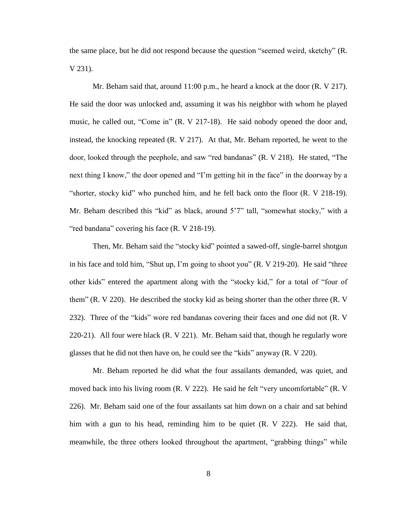the same place, but he did not respond because the question "seemed weird, sketchy" (R. V 231).

Mr. Beham said that, around 11:00 p.m., he heard a knock at the door (R. V 217). He said the door was unlocked and, assuming it was his neighbor with whom he played music, he called out, "Come in" (R. V 217-18). He said nobody opened the door and, instead, the knocking repeated (R. V 217). At that, Mr. Beham reported, he went to the door, looked through the peephole, and saw "red bandanas" (R. V 218). He stated, "The next thing I know," the door opened and "I'm getting hit in the face" in the doorway by a "shorter, stocky kid" who punched him, and he fell back onto the floor (R. V 218-19). Mr. Beham described this "kid" as black, around 5'7" tall, "somewhat stocky," with a "red bandana" covering his face (R. V 218-19).

Then, Mr. Beham said the "stocky kid" pointed a sawed-off, single-barrel shotgun in his face and told him, "Shut up, I'm going to shoot you" (R. V 219-20). He said "three other kids" entered the apartment along with the "stocky kid," for a total of "four of them" (R. V 220). He described the stocky kid as being shorter than the other three (R. V 232). Three of the "kids" wore red bandanas covering their faces and one did not (R. V 220-21). All four were black (R. V 221). Mr. Beham said that, though he regularly wore glasses that he did not then have on, he could see the "kids" anyway (R. V 220).

Mr. Beham reported he did what the four assailants demanded, was quiet, and moved back into his living room (R. V 222). He said he felt "very uncomfortable" (R. V 226). Mr. Beham said one of the four assailants sat him down on a chair and sat behind him with a gun to his head, reminding him to be quiet (R. V 222). He said that, meanwhile, the three others looked throughout the apartment, "grabbing things" while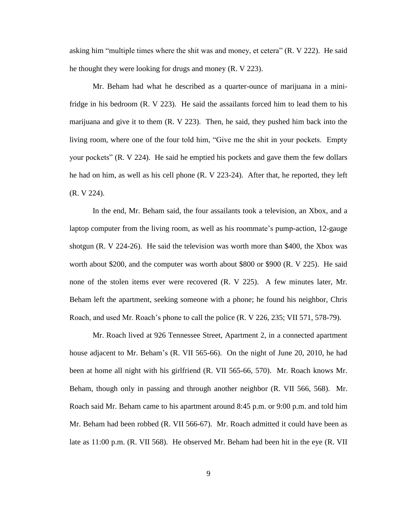asking him "multiple times where the shit was and money, et cetera" (R. V 222). He said he thought they were looking for drugs and money (R. V 223).

Mr. Beham had what he described as a quarter-ounce of marijuana in a minifridge in his bedroom (R. V 223). He said the assailants forced him to lead them to his marijuana and give it to them (R. V 223). Then, he said, they pushed him back into the living room, where one of the four told him, "Give me the shit in your pockets. Empty your pockets" (R. V 224). He said he emptied his pockets and gave them the few dollars he had on him, as well as his cell phone (R. V 223-24). After that, he reported, they left (R. V 224).

In the end, Mr. Beham said, the four assailants took a television, an Xbox, and a laptop computer from the living room, as well as his roommate's pump-action, 12-gauge shotgun (R. V 224-26). He said the television was worth more than \$400, the Xbox was worth about \$200, and the computer was worth about \$800 or \$900 (R. V 225). He said none of the stolen items ever were recovered (R. V 225). A few minutes later, Mr. Beham left the apartment, seeking someone with a phone; he found his neighbor, Chris Roach, and used Mr. Roach's phone to call the police (R. V 226, 235; VII 571, 578-79).

Mr. Roach lived at 926 Tennessee Street, Apartment 2, in a connected apartment house adjacent to Mr. Beham's (R. VII 565-66). On the night of June 20, 2010, he had been at home all night with his girlfriend (R. VII 565-66, 570). Mr. Roach knows Mr. Beham, though only in passing and through another neighbor (R. VII 566, 568). Mr. Roach said Mr. Beham came to his apartment around 8:45 p.m. or 9:00 p.m. and told him Mr. Beham had been robbed (R. VII 566-67). Mr. Roach admitted it could have been as late as 11:00 p.m. (R. VII 568). He observed Mr. Beham had been hit in the eye (R. VII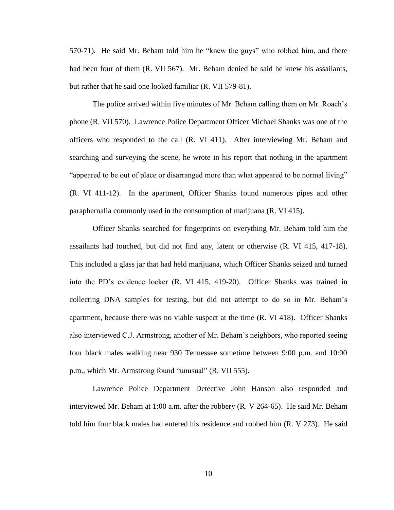570-71). He said Mr. Beham told him he "knew the guys" who robbed him, and there had been four of them (R. VII 567). Mr. Beham denied he said he knew his assailants, but rather that he said one looked familiar (R. VII 579-81).

The police arrived within five minutes of Mr. Beham calling them on Mr. Roach's phone (R. VII 570). Lawrence Police Department Officer Michael Shanks was one of the officers who responded to the call (R. VI 411). After interviewing Mr. Beham and searching and surveying the scene, he wrote in his report that nothing in the apartment "appeared to be out of place or disarranged more than what appeared to be normal living" (R. VI 411-12). In the apartment, Officer Shanks found numerous pipes and other paraphernalia commonly used in the consumption of marijuana (R. VI 415).

Officer Shanks searched for fingerprints on everything Mr. Beham told him the assailants had touched, but did not find any, latent or otherwise (R. VI 415, 417-18). This included a glass jar that had held marijuana, which Officer Shanks seized and turned into the PD's evidence locker (R. VI 415, 419-20). Officer Shanks was trained in collecting DNA samples for testing, but did not attempt to do so in Mr. Beham's apartment, because there was no viable suspect at the time (R. VI 418). Officer Shanks also interviewed C.J. Armstrong, another of Mr. Beham's neighbors, who reported seeing four black males walking near 930 Tennessee sometime between 9:00 p.m. and 10:00 p.m., which Mr. Armstrong found "unusual" (R. VII 555).

Lawrence Police Department Detective John Hanson also responded and interviewed Mr. Beham at 1:00 a.m. after the robbery (R. V 264-65). He said Mr. Beham told him four black males had entered his residence and robbed him (R. V 273). He said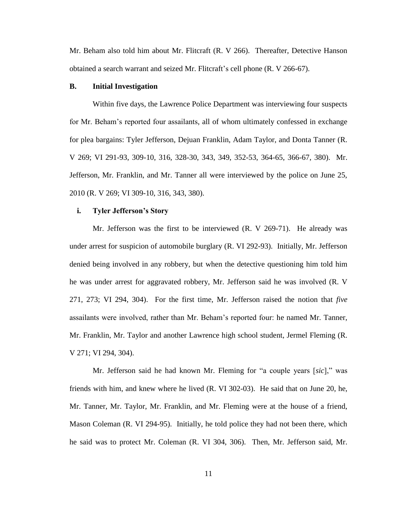Mr. Beham also told him about Mr. Flitcraft (R. V 266). Thereafter, Detective Hanson obtained a search warrant and seized Mr. Flitcraft's cell phone (R. V 266-67).

## **B. Initial Investigation**

Within five days, the Lawrence Police Department was interviewing four suspects for Mr. Beham's reported four assailants, all of whom ultimately confessed in exchange for plea bargains: Tyler Jefferson, Dejuan Franklin, Adam Taylor, and Donta Tanner (R. V 269; VI 291-93, 309-10, 316, 328-30, 343, 349, 352-53, 364-65, 366-67, 380). Mr. Jefferson, Mr. Franklin, and Mr. Tanner all were interviewed by the police on June 25, 2010 (R. V 269; VI 309-10, 316, 343, 380).

## **i. Tyler Jefferson's Story**

Mr. Jefferson was the first to be interviewed (R. V 269-71). He already was under arrest for suspicion of automobile burglary (R. VI 292-93). Initially, Mr. Jefferson denied being involved in any robbery, but when the detective questioning him told him he was under arrest for aggravated robbery, Mr. Jefferson said he was involved (R. V 271, 273; VI 294, 304). For the first time, Mr. Jefferson raised the notion that *five* assailants were involved, rather than Mr. Beham's reported four: he named Mr. Tanner, Mr. Franklin, Mr. Taylor and another Lawrence high school student, Jermel Fleming (R. V 271; VI 294, 304).

Mr. Jefferson said he had known Mr. Fleming for "a couple years [*sic*]," was friends with him, and knew where he lived (R. VI 302-03). He said that on June 20, he, Mr. Tanner, Mr. Taylor, Mr. Franklin, and Mr. Fleming were at the house of a friend, Mason Coleman (R. VI 294-95). Initially, he told police they had not been there, which he said was to protect Mr. Coleman (R. VI 304, 306). Then, Mr. Jefferson said, Mr.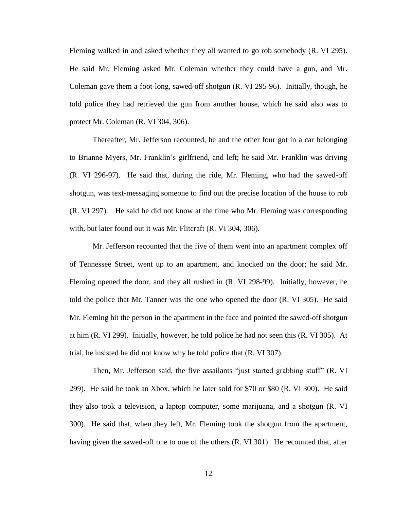Fleming walked in and asked whether they all wanted to go rob somebody (R. VI 295). He said Mr. Fleming asked Mr. Coleman whether they could have a gun, and Mr. Coleman gave them a foot-long, sawed-off shotgun (R. VI 295-96). Initially, though, he told police they had retrieved the gun from another house, which he said also was to protect Mr. Coleman (R. VI 304, 306).

Thereafter, Mr. Jefferson recounted, he and the other four got in a car belonging to Brianne Myers, Mr. Franklin's girlfriend, and left; he said Mr. Franklin was driving (R. VI 296-97). He said that, during the ride, Mr. Fleming, who had the sawed-off shotgun, was text-messaging someone to find out the precise location of the house to rob (R. VI 297). He said he did not know at the time who Mr. Fleming was corresponding with, but later found out it was Mr. Flitcraft (R. VI 304, 306).

Mr. Jefferson recounted that the five of them went into an apartment complex off of Tennessee Street, went up to an apartment, and knocked on the door; he said Mr. Fleming opened the door, and they all rushed in (R. VI 298-99). Initially, however, he told the police that Mr. Tanner was the one who opened the door (R. VI 305). He said Mr. Fleming hit the person in the apartment in the face and pointed the sawed-off shotgun at him (R. VI 299). Initially, however, he told police he had not seen this (R. VI 305). At trial, he insisted he did not know why he told police that (R. VI 307).

Then, Mr. Jefferson said, the five assailants "just started grabbing stuff" (R. VI 299). He said he took an Xbox, which he later sold for \$70 or \$80 (R. VI 300). He said they also took a television, a laptop computer, some marijuana, and a shotgun (R. VI 300). He said that, when they left, Mr. Fleming took the shotgun from the apartment, having given the sawed-off one to one of the others (R. VI 301). He recounted that, after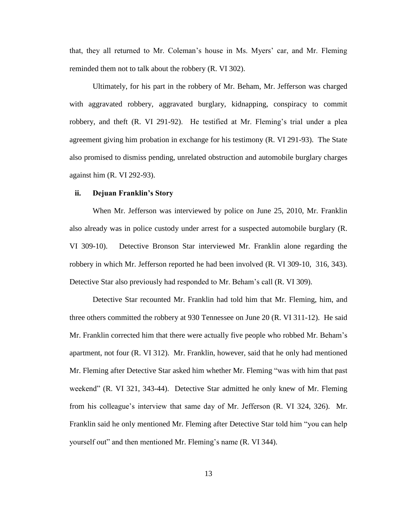that, they all returned to Mr. Coleman's house in Ms. Myers' car, and Mr. Fleming reminded them not to talk about the robbery (R. VI 302).

Ultimately, for his part in the robbery of Mr. Beham, Mr. Jefferson was charged with aggravated robbery, aggravated burglary, kidnapping, conspiracy to commit robbery, and theft (R. VI 291-92). He testified at Mr. Fleming's trial under a plea agreement giving him probation in exchange for his testimony (R. VI 291-93). The State also promised to dismiss pending, unrelated obstruction and automobile burglary charges against him (R. VI 292-93).

## **ii. Dejuan Franklin's Story**

When Mr. Jefferson was interviewed by police on June 25, 2010, Mr. Franklin also already was in police custody under arrest for a suspected automobile burglary (R. VI 309-10). Detective Bronson Star interviewed Mr. Franklin alone regarding the robbery in which Mr. Jefferson reported he had been involved (R. VI 309-10, 316, 343). Detective Star also previously had responded to Mr. Beham's call (R. VI 309).

Detective Star recounted Mr. Franklin had told him that Mr. Fleming, him, and three others committed the robbery at 930 Tennessee on June 20 (R. VI 311-12). He said Mr. Franklin corrected him that there were actually five people who robbed Mr. Beham's apartment, not four (R. VI 312). Mr. Franklin, however, said that he only had mentioned Mr. Fleming after Detective Star asked him whether Mr. Fleming "was with him that past weekend" (R. VI 321, 343-44). Detective Star admitted he only knew of Mr. Fleming from his colleague's interview that same day of Mr. Jefferson (R. VI 324, 326). Mr. Franklin said he only mentioned Mr. Fleming after Detective Star told him "you can help yourself out" and then mentioned Mr. Fleming's name (R. VI 344).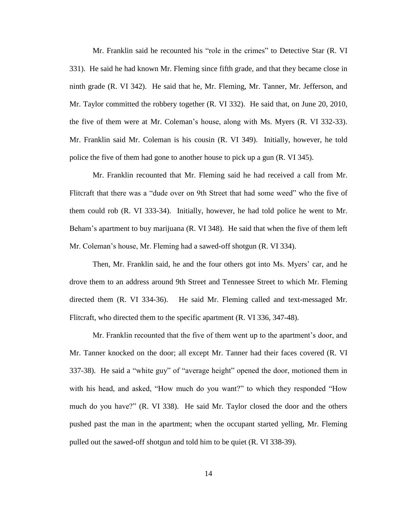Mr. Franklin said he recounted his "role in the crimes" to Detective Star (R. VI 331). He said he had known Mr. Fleming since fifth grade, and that they became close in ninth grade (R. VI 342). He said that he, Mr. Fleming, Mr. Tanner, Mr. Jefferson, and Mr. Taylor committed the robbery together (R. VI 332). He said that, on June 20, 2010, the five of them were at Mr. Coleman's house, along with Ms. Myers (R. VI 332-33). Mr. Franklin said Mr. Coleman is his cousin (R. VI 349). Initially, however, he told police the five of them had gone to another house to pick up a gun (R. VI 345).

Mr. Franklin recounted that Mr. Fleming said he had received a call from Mr. Flitcraft that there was a "dude over on 9th Street that had some weed" who the five of them could rob (R. VI 333-34). Initially, however, he had told police he went to Mr. Beham's apartment to buy marijuana (R. VI 348). He said that when the five of them left Mr. Coleman's house, Mr. Fleming had a sawed-off shotgun (R. VI 334).

Then, Mr. Franklin said, he and the four others got into Ms. Myers' car, and he drove them to an address around 9th Street and Tennessee Street to which Mr. Fleming directed them (R. VI 334-36). He said Mr. Fleming called and text-messaged Mr. Flitcraft, who directed them to the specific apartment (R. VI 336, 347-48).

Mr. Franklin recounted that the five of them went up to the apartment's door, and Mr. Tanner knocked on the door; all except Mr. Tanner had their faces covered (R. VI 337-38). He said a "white guy" of "average height" opened the door, motioned them in with his head, and asked, "How much do you want?" to which they responded "How much do you have?" (R. VI 338). He said Mr. Taylor closed the door and the others pushed past the man in the apartment; when the occupant started yelling, Mr. Fleming pulled out the sawed-off shotgun and told him to be quiet (R. VI 338-39).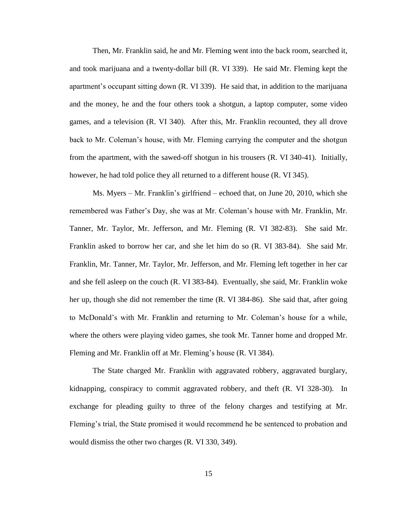Then, Mr. Franklin said, he and Mr. Fleming went into the back room, searched it, and took marijuana and a twenty-dollar bill (R. VI 339). He said Mr. Fleming kept the apartment's occupant sitting down (R. VI 339). He said that, in addition to the marijuana and the money, he and the four others took a shotgun, a laptop computer, some video games, and a television (R. VI 340). After this, Mr. Franklin recounted, they all drove back to Mr. Coleman's house, with Mr. Fleming carrying the computer and the shotgun from the apartment, with the sawed-off shotgun in his trousers (R. VI 340-41). Initially, however, he had told police they all returned to a different house (R. VI 345).

Ms. Myers – Mr. Franklin's girlfriend – echoed that, on June 20, 2010, which she remembered was Father's Day, she was at Mr. Coleman's house with Mr. Franklin, Mr. Tanner, Mr. Taylor, Mr. Jefferson, and Mr. Fleming (R. VI 382-83). She said Mr. Franklin asked to borrow her car, and she let him do so (R. VI 383-84). She said Mr. Franklin, Mr. Tanner, Mr. Taylor, Mr. Jefferson, and Mr. Fleming left together in her car and she fell asleep on the couch (R. VI 383-84). Eventually, she said, Mr. Franklin woke her up, though she did not remember the time (R. VI 384-86). She said that, after going to McDonald's with Mr. Franklin and returning to Mr. Coleman's house for a while, where the others were playing video games, she took Mr. Tanner home and dropped Mr. Fleming and Mr. Franklin off at Mr. Fleming's house (R. VI 384).

The State charged Mr. Franklin with aggravated robbery, aggravated burglary, kidnapping, conspiracy to commit aggravated robbery, and theft (R. VI 328-30). In exchange for pleading guilty to three of the felony charges and testifying at Mr. Fleming's trial, the State promised it would recommend he be sentenced to probation and would dismiss the other two charges (R. VI 330, 349).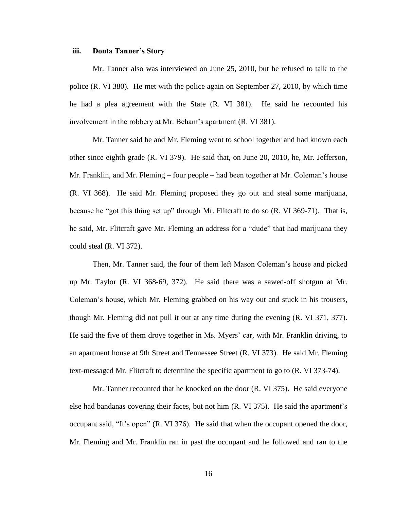#### **iii. Donta Tanner's Story**

Mr. Tanner also was interviewed on June 25, 2010, but he refused to talk to the police (R. VI 380). He met with the police again on September 27, 2010, by which time he had a plea agreement with the State (R. VI 381). He said he recounted his involvement in the robbery at Mr. Beham's apartment (R. VI 381).

Mr. Tanner said he and Mr. Fleming went to school together and had known each other since eighth grade (R. VI 379). He said that, on June 20, 2010, he, Mr. Jefferson, Mr. Franklin, and Mr. Fleming – four people – had been together at Mr. Coleman's house (R. VI 368). He said Mr. Fleming proposed they go out and steal some marijuana, because he "got this thing set up" through Mr. Flitcraft to do so (R. VI 369-71). That is, he said, Mr. Flitcraft gave Mr. Fleming an address for a "dude" that had marijuana they could steal (R. VI 372).

Then, Mr. Tanner said, the four of them left Mason Coleman's house and picked up Mr. Taylor (R. VI 368-69, 372). He said there was a sawed-off shotgun at Mr. Coleman's house, which Mr. Fleming grabbed on his way out and stuck in his trousers, though Mr. Fleming did not pull it out at any time during the evening (R. VI 371, 377). He said the five of them drove together in Ms. Myers' car, with Mr. Franklin driving, to an apartment house at 9th Street and Tennessee Street (R. VI 373). He said Mr. Fleming text-messaged Mr. Flitcraft to determine the specific apartment to go to (R. VI 373-74).

Mr. Tanner recounted that he knocked on the door (R. VI 375). He said everyone else had bandanas covering their faces, but not him (R. VI 375). He said the apartment's occupant said, "It's open" (R. VI 376). He said that when the occupant opened the door, Mr. Fleming and Mr. Franklin ran in past the occupant and he followed and ran to the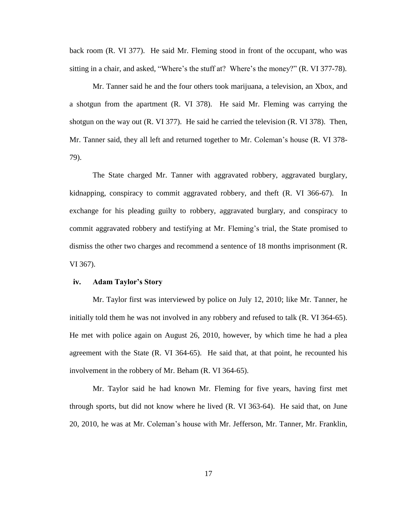back room (R. VI 377). He said Mr. Fleming stood in front of the occupant, who was sitting in a chair, and asked, "Where's the stuff at? Where's the money?" (R. VI 377-78).

Mr. Tanner said he and the four others took marijuana, a television, an Xbox, and a shotgun from the apartment (R. VI 378). He said Mr. Fleming was carrying the shotgun on the way out (R. VI 377). He said he carried the television (R. VI 378). Then, Mr. Tanner said, they all left and returned together to Mr. Coleman's house (R. VI 378- 79).

The State charged Mr. Tanner with aggravated robbery, aggravated burglary, kidnapping, conspiracy to commit aggravated robbery, and theft (R. VI 366-67). In exchange for his pleading guilty to robbery, aggravated burglary, and conspiracy to commit aggravated robbery and testifying at Mr. Fleming's trial, the State promised to dismiss the other two charges and recommend a sentence of 18 months imprisonment (R. VI 367).

#### **iv. Adam Taylor's Story**

Mr. Taylor first was interviewed by police on July 12, 2010; like Mr. Tanner, he initially told them he was not involved in any robbery and refused to talk (R. VI 364-65). He met with police again on August 26, 2010, however, by which time he had a plea agreement with the State (R. VI 364-65). He said that, at that point, he recounted his involvement in the robbery of Mr. Beham (R. VI 364-65).

Mr. Taylor said he had known Mr. Fleming for five years, having first met through sports, but did not know where he lived (R. VI 363-64). He said that, on June 20, 2010, he was at Mr. Coleman's house with Mr. Jefferson, Mr. Tanner, Mr. Franklin,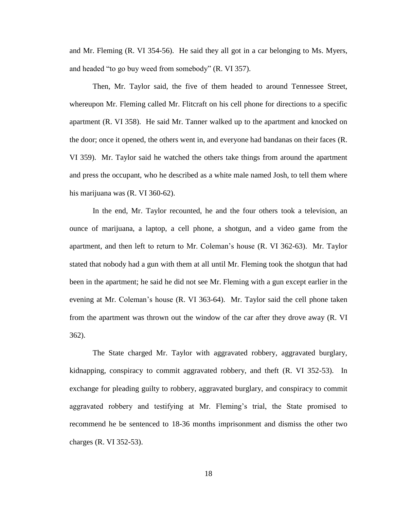and Mr. Fleming (R. VI 354-56). He said they all got in a car belonging to Ms. Myers, and headed "to go buy weed from somebody" (R. VI 357).

Then, Mr. Taylor said, the five of them headed to around Tennessee Street, whereupon Mr. Fleming called Mr. Flitcraft on his cell phone for directions to a specific apartment (R. VI 358). He said Mr. Tanner walked up to the apartment and knocked on the door; once it opened, the others went in, and everyone had bandanas on their faces (R. VI 359). Mr. Taylor said he watched the others take things from around the apartment and press the occupant, who he described as a white male named Josh, to tell them where his marijuana was (R. VI 360-62).

In the end, Mr. Taylor recounted, he and the four others took a television, an ounce of marijuana, a laptop, a cell phone, a shotgun, and a video game from the apartment, and then left to return to Mr. Coleman's house (R. VI 362-63). Mr. Taylor stated that nobody had a gun with them at all until Mr. Fleming took the shotgun that had been in the apartment; he said he did not see Mr. Fleming with a gun except earlier in the evening at Mr. Coleman's house (R. VI 363-64). Mr. Taylor said the cell phone taken from the apartment was thrown out the window of the car after they drove away (R. VI 362).

The State charged Mr. Taylor with aggravated robbery, aggravated burglary, kidnapping, conspiracy to commit aggravated robbery, and theft (R. VI 352-53). In exchange for pleading guilty to robbery, aggravated burglary, and conspiracy to commit aggravated robbery and testifying at Mr. Fleming's trial, the State promised to recommend he be sentenced to 18-36 months imprisonment and dismiss the other two charges (R. VI 352-53).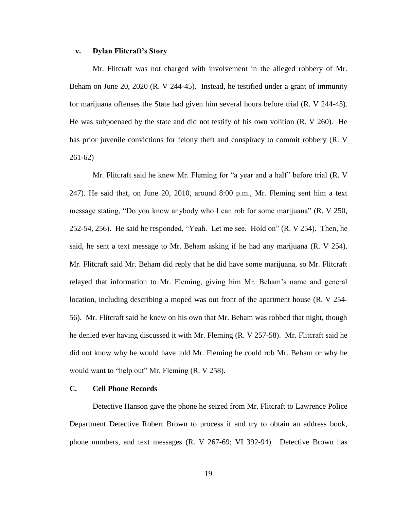## **v. Dylan Flitcraft's Story**

Mr. Flitcraft was not charged with involvement in the alleged robbery of Mr. Beham on June 20, 2020 (R. V 244-45). Instead, he testified under a grant of immunity for marijuana offenses the State had given him several hours before trial (R. V 244-45). He was subpoenaed by the state and did not testify of his own volition (R. V 260). He has prior juvenile convictions for felony theft and conspiracy to commit robbery (R. V 261-62)

Mr. Flitcraft said he knew Mr. Fleming for "a year and a half" before trial (R. V 247). He said that, on June 20, 2010, around 8:00 p.m., Mr. Fleming sent him a text message stating, "Do you know anybody who I can rob for some marijuana" (R. V 250, 252-54, 256). He said he responded, "Yeah. Let me see. Hold on" (R. V 254). Then, he said, he sent a text message to Mr. Beham asking if he had any marijuana (R. V 254). Mr. Flitcraft said Mr. Beham did reply that he did have some marijuana, so Mr. Flitcraft relayed that information to Mr. Fleming, giving him Mr. Beham's name and general location, including describing a moped was out front of the apartment house (R. V 254- 56). Mr. Flitcraft said he knew on his own that Mr. Beham was robbed that night, though he denied ever having discussed it with Mr. Fleming (R. V 257-58). Mr. Flitcraft said he did not know why he would have told Mr. Fleming he could rob Mr. Beham or why he would want to "help out" Mr. Fleming (R. V 258).

## **C. Cell Phone Records**

Detective Hanson gave the phone he seized from Mr. Flitcraft to Lawrence Police Department Detective Robert Brown to process it and try to obtain an address book, phone numbers, and text messages (R. V 267-69; VI 392-94). Detective Brown has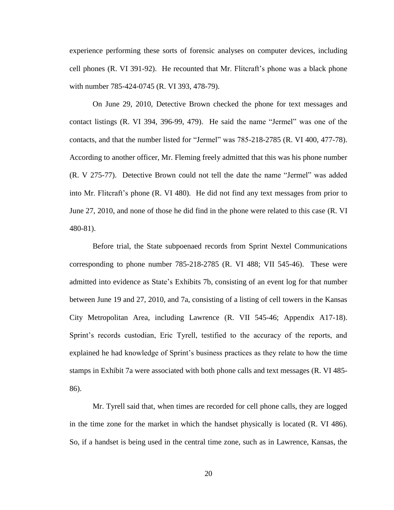experience performing these sorts of forensic analyses on computer devices, including cell phones (R. VI 391-92). He recounted that Mr. Flitcraft's phone was a black phone with number 785-424-0745 (R. VI 393, 478-79).

On June 29, 2010, Detective Brown checked the phone for text messages and contact listings (R. VI 394, 396-99, 479). He said the name "Jermel" was one of the contacts, and that the number listed for "Jermel" was 785-218-2785 (R. VI 400, 477-78). According to another officer, Mr. Fleming freely admitted that this was his phone number (R. V 275-77). Detective Brown could not tell the date the name "Jermel" was added into Mr. Flitcraft's phone (R. VI 480). He did not find any text messages from prior to June 27, 2010, and none of those he did find in the phone were related to this case (R. VI 480-81).

Before trial, the State subpoenaed records from Sprint Nextel Communications corresponding to phone number 785-218-2785 (R. VI 488; VII 545-46). These were admitted into evidence as State's Exhibits 7b, consisting of an event log for that number between June 19 and 27, 2010, and 7a, consisting of a listing of cell towers in the Kansas City Metropolitan Area, including Lawrence (R. VII 545-46; Appendix A17-18). Sprint's records custodian, Eric Tyrell, testified to the accuracy of the reports, and explained he had knowledge of Sprint's business practices as they relate to how the time stamps in Exhibit 7a were associated with both phone calls and text messages (R. VI 485- 86).

Mr. Tyrell said that, when times are recorded for cell phone calls, they are logged in the time zone for the market in which the handset physically is located (R. VI 486). So, if a handset is being used in the central time zone, such as in Lawrence, Kansas, the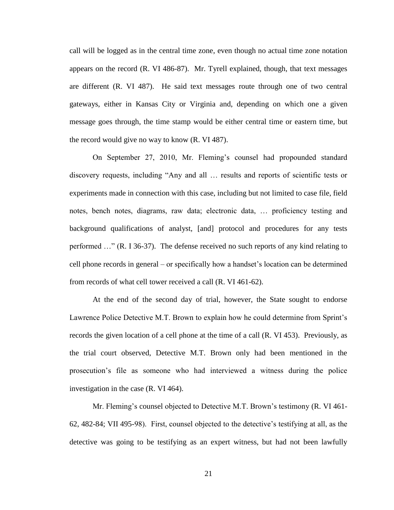call will be logged as in the central time zone, even though no actual time zone notation appears on the record (R. VI 486-87). Mr. Tyrell explained, though, that text messages are different (R. VI 487). He said text messages route through one of two central gateways, either in Kansas City or Virginia and, depending on which one a given message goes through, the time stamp would be either central time or eastern time, but the record would give no way to know (R. VI 487).

On September 27, 2010, Mr. Fleming's counsel had propounded standard discovery requests, including "Any and all … results and reports of scientific tests or experiments made in connection with this case, including but not limited to case file, field notes, bench notes, diagrams, raw data; electronic data, … proficiency testing and background qualifications of analyst, [and] protocol and procedures for any tests performed …" (R. I 36-37). The defense received no such reports of any kind relating to cell phone records in general – or specifically how a handset's location can be determined from records of what cell tower received a call (R. VI 461-62).

At the end of the second day of trial, however, the State sought to endorse Lawrence Police Detective M.T. Brown to explain how he could determine from Sprint's records the given location of a cell phone at the time of a call (R. VI 453). Previously, as the trial court observed, Detective M.T. Brown only had been mentioned in the prosecution's file as someone who had interviewed a witness during the police investigation in the case (R. VI 464).

Mr. Fleming's counsel objected to Detective M.T. Brown's testimony (R. VI 461- 62, 482-84; VII 495-98). First, counsel objected to the detective's testifying at all, as the detective was going to be testifying as an expert witness, but had not been lawfully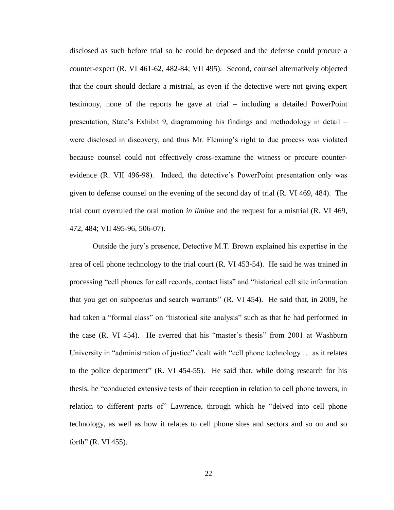disclosed as such before trial so he could be deposed and the defense could procure a counter-expert (R. VI 461-62, 482-84; VII 495). Second, counsel alternatively objected that the court should declare a mistrial, as even if the detective were not giving expert testimony, none of the reports he gave at trial – including a detailed PowerPoint presentation, State's Exhibit 9, diagramming his findings and methodology in detail – were disclosed in discovery, and thus Mr. Fleming's right to due process was violated because counsel could not effectively cross-examine the witness or procure counterevidence (R. VII 496-98). Indeed, the detective's PowerPoint presentation only was given to defense counsel on the evening of the second day of trial (R. VI 469, 484). The trial court overruled the oral motion *in limine* and the request for a mistrial (R. VI 469, 472, 484; VII 495-96, 506-07).

Outside the jury's presence, Detective M.T. Brown explained his expertise in the area of cell phone technology to the trial court (R. VI 453-54). He said he was trained in processing "cell phones for call records, contact lists" and "historical cell site information that you get on subpoenas and search warrants" (R. VI 454). He said that, in 2009, he had taken a "formal class" on "historical site analysis" such as that he had performed in the case (R. VI 454). He averred that his "master's thesis" from 2001 at Washburn University in "administration of justice" dealt with "cell phone technology … as it relates to the police department" (R. VI 454-55). He said that, while doing research for his thesis, he "conducted extensive tests of their reception in relation to cell phone towers, in relation to different parts of" Lawrence, through which he "delved into cell phone technology, as well as how it relates to cell phone sites and sectors and so on and so forth" (R. VI 455).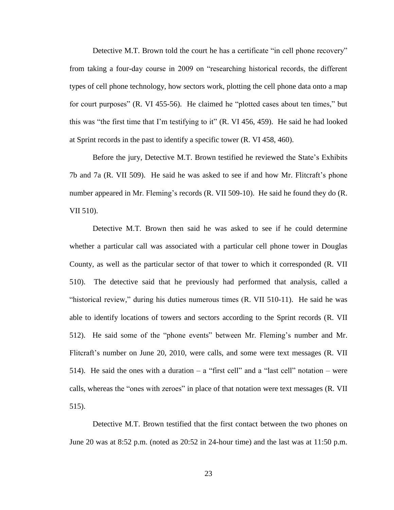Detective M.T. Brown told the court he has a certificate "in cell phone recovery" from taking a four-day course in 2009 on "researching historical records, the different types of cell phone technology, how sectors work, plotting the cell phone data onto a map for court purposes" (R. VI 455-56). He claimed he "plotted cases about ten times," but this was "the first time that I'm testifying to it" (R. VI 456, 459). He said he had looked at Sprint records in the past to identify a specific tower (R. VI 458, 460).

Before the jury, Detective M.T. Brown testified he reviewed the State's Exhibits 7b and 7a (R. VII 509). He said he was asked to see if and how Mr. Flitcraft's phone number appeared in Mr. Fleming's records (R. VII 509-10). He said he found they do (R. VII 510).

Detective M.T. Brown then said he was asked to see if he could determine whether a particular call was associated with a particular cell phone tower in Douglas County, as well as the particular sector of that tower to which it corresponded (R. VII 510). The detective said that he previously had performed that analysis, called a "historical review," during his duties numerous times (R. VII 510-11). He said he was able to identify locations of towers and sectors according to the Sprint records (R. VII 512). He said some of the "phone events" between Mr. Fleming's number and Mr. Flitcraft's number on June 20, 2010, were calls, and some were text messages (R. VII 514). He said the ones with a duration  $-$  a "first cell" and a "last cell" notation  $-$  were calls, whereas the "ones with zeroes" in place of that notation were text messages (R. VII 515).

Detective M.T. Brown testified that the first contact between the two phones on June 20 was at 8:52 p.m. (noted as 20:52 in 24-hour time) and the last was at 11:50 p.m.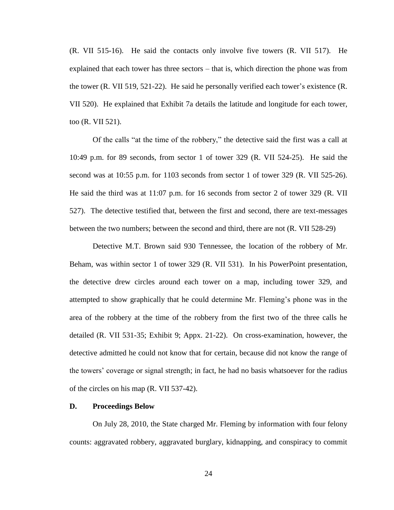(R. VII 515-16). He said the contacts only involve five towers (R. VII 517). He explained that each tower has three sectors – that is, which direction the phone was from the tower (R. VII 519, 521-22). He said he personally verified each tower's existence (R. VII 520). He explained that Exhibit 7a details the latitude and longitude for each tower, too (R. VII 521).

Of the calls "at the time of the robbery," the detective said the first was a call at 10:49 p.m. for 89 seconds, from sector 1 of tower 329 (R. VII 524-25). He said the second was at 10:55 p.m. for 1103 seconds from sector 1 of tower 329 (R. VII 525-26). He said the third was at 11:07 p.m. for 16 seconds from sector 2 of tower 329 (R. VII 527). The detective testified that, between the first and second, there are text-messages between the two numbers; between the second and third, there are not (R. VII 528-29)

Detective M.T. Brown said 930 Tennessee, the location of the robbery of Mr. Beham, was within sector 1 of tower 329 (R. VII 531). In his PowerPoint presentation, the detective drew circles around each tower on a map, including tower 329, and attempted to show graphically that he could determine Mr. Fleming's phone was in the area of the robbery at the time of the robbery from the first two of the three calls he detailed (R. VII 531-35; Exhibit 9; Appx. 21-22). On cross-examination, however, the detective admitted he could not know that for certain, because did not know the range of the towers' coverage or signal strength; in fact, he had no basis whatsoever for the radius of the circles on his map (R. VII 537-42).

#### **D. Proceedings Below**

On July 28, 2010, the State charged Mr. Fleming by information with four felony counts: aggravated robbery, aggravated burglary, kidnapping, and conspiracy to commit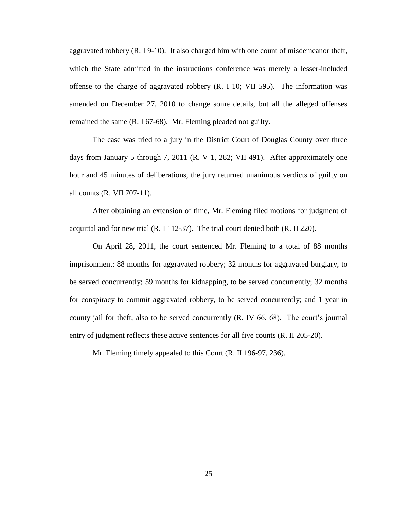aggravated robbery (R. I 9-10). It also charged him with one count of misdemeanor theft, which the State admitted in the instructions conference was merely a lesser-included offense to the charge of aggravated robbery (R. I 10; VII 595). The information was amended on December 27, 2010 to change some details, but all the alleged offenses remained the same (R. I 67-68). Mr. Fleming pleaded not guilty.

The case was tried to a jury in the District Court of Douglas County over three days from January 5 through 7, 2011 (R. V 1, 282; VII 491). After approximately one hour and 45 minutes of deliberations, the jury returned unanimous verdicts of guilty on all counts (R. VII 707-11).

After obtaining an extension of time, Mr. Fleming filed motions for judgment of acquittal and for new trial (R. I 112-37). The trial court denied both (R. II 220).

On April 28, 2011, the court sentenced Mr. Fleming to a total of 88 months imprisonment: 88 months for aggravated robbery; 32 months for aggravated burglary, to be served concurrently; 59 months for kidnapping, to be served concurrently; 32 months for conspiracy to commit aggravated robbery, to be served concurrently; and 1 year in county jail for theft, also to be served concurrently (R. IV 66, 68). The court's journal entry of judgment reflects these active sentences for all five counts (R. II 205-20).

Mr. Fleming timely appealed to this Court (R. II 196-97, 236).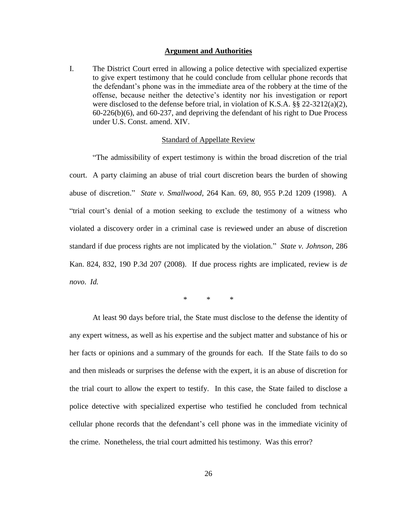#### **Argument and Authorities**

I. The District Court erred in allowing a police detective with specialized expertise to give expert testimony that he could conclude from cellular phone records that the defendant's phone was in the immediate area of the robbery at the time of the offense, because neither the detective's identity nor his investigation or report were disclosed to the defense before trial, in violation of K.S.A.  $\S$ § 22-3212(a)(2), 60-226(b)(6), and 60-237, and depriving the defendant of his right to Due Process under U.S. Const. amend. XIV.

#### Standard of Appellate Review

"The admissibility of expert testimony is within the broad discretion of the trial court. A party claiming an abuse of trial court discretion bears the burden of showing abuse of discretion." *State v. Smallwood*, 264 Kan. 69, 80, 955 P.2d 1209 (1998). A "trial court's denial of a motion seeking to exclude the testimony of a witness who violated a discovery order in a criminal case is reviewed under an abuse of discretion standard if due process rights are not implicated by the violation." *State v. Johnson*, 286 Kan. 824, 832, 190 P.3d 207 (2008). If due process rights are implicated, review is *de novo*. *Id.*

\* \* \*

At least 90 days before trial, the State must disclose to the defense the identity of any expert witness, as well as his expertise and the subject matter and substance of his or her facts or opinions and a summary of the grounds for each. If the State fails to do so and then misleads or surprises the defense with the expert, it is an abuse of discretion for the trial court to allow the expert to testify. In this case, the State failed to disclose a police detective with specialized expertise who testified he concluded from technical cellular phone records that the defendant's cell phone was in the immediate vicinity of the crime. Nonetheless, the trial court admitted his testimony. Was this error?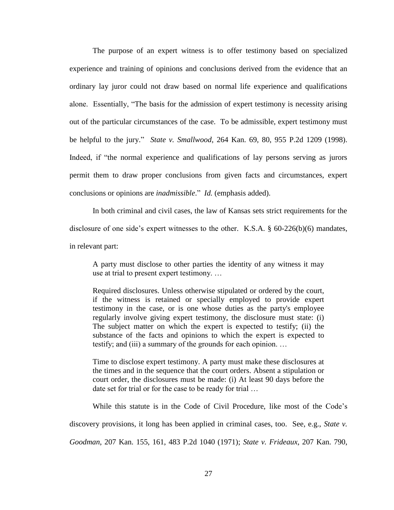The purpose of an expert witness is to offer testimony based on specialized experience and training of opinions and conclusions derived from the evidence that an ordinary lay juror could not draw based on normal life experience and qualifications alone. Essentially, "The basis for the admission of expert testimony is necessity arising out of the particular circumstances of the case. To be admissible, expert testimony must be helpful to the jury." *State v. Smallwood*, 264 Kan. 69, 80, 955 P.2d 1209 (1998). Indeed, if "the normal experience and qualifications of lay persons serving as jurors permit them to draw proper conclusions from given facts and circumstances, expert conclusions or opinions are *inadmissible*." *Id.* (emphasis added).

In both criminal and civil cases, the law of Kansas sets strict requirements for the disclosure of one side's expert witnesses to the other. K.S.A. § 60-226(b)(6) mandates, in relevant part:

A party must disclose to other parties the identity of any witness it may use at trial to present expert testimony. …

Required disclosures. Unless otherwise stipulated or ordered by the court, if the witness is retained or specially employed to provide expert testimony in the case, or is one whose duties as the party's employee regularly involve giving expert testimony, the disclosure must state: (i) The subject matter on which the expert is expected to testify; (ii) the substance of the facts and opinions to which the expert is expected to testify; and (iii) a summary of the grounds for each opinion. …

Time to disclose expert testimony. A party must make these disclosures at the times and in the sequence that the court orders. Absent a stipulation or court order, the disclosures must be made: (i) At least 90 days before the date set for trial or for the case to be ready for trial …

While this statute is in the Code of Civil Procedure, like most of the Code's discovery provisions, it long has been applied in criminal cases, too. See, e.g., *State v. Goodman*, 207 Kan. 155, 161, 483 P.2d 1040 (1971); *State v. Frideaux*, 207 Kan. 790,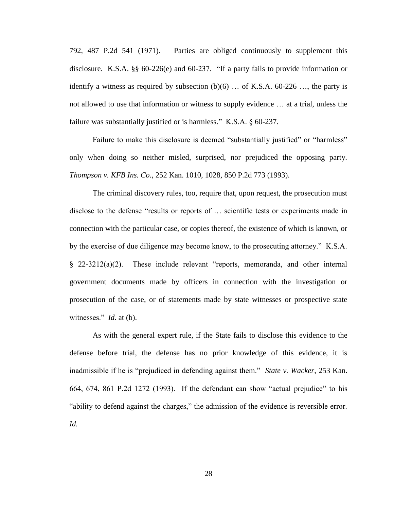792, 487 P.2d 541 (1971). Parties are obliged continuously to supplement this disclosure. K.S.A. §§ 60-226(e) and 60-237. "If a party fails to provide information or identify a witness as required by subsection  $(b)(6)$  ... of K.S.A. 60-226 ..., the party is not allowed to use that information or witness to supply evidence … at a trial, unless the failure was substantially justified or is harmless." K.S.A. § 60-237.

Failure to make this disclosure is deemed "substantially justified" or "harmless" only when doing so neither misled, surprised, nor prejudiced the opposing party. *Thompson v. KFB Ins. Co.*, 252 Kan. 1010, 1028, 850 P.2d 773 (1993).

The criminal discovery rules, too, require that, upon request, the prosecution must disclose to the defense "results or reports of … scientific tests or experiments made in connection with the particular case, or copies thereof, the existence of which is known, or by the exercise of due diligence may become know, to the prosecuting attorney." K.S.A. § 22-3212(a)(2). These include relevant "reports, memoranda, and other internal government documents made by officers in connection with the investigation or prosecution of the case, or of statements made by state witnesses or prospective state witnesses." *Id.* at (b).

As with the general expert rule, if the State fails to disclose this evidence to the defense before trial, the defense has no prior knowledge of this evidence, it is inadmissible if he is "prejudiced in defending against them." *State v. Wacker*, 253 Kan. 664, 674, 861 P.2d 1272 (1993). If the defendant can show "actual prejudice" to his "ability to defend against the charges," the admission of the evidence is reversible error. *Id.*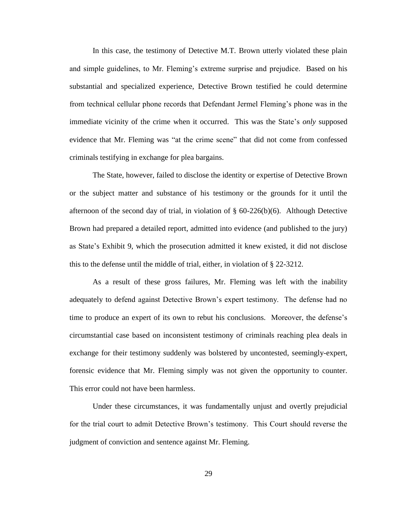In this case, the testimony of Detective M.T. Brown utterly violated these plain and simple guidelines, to Mr. Fleming's extreme surprise and prejudice. Based on his substantial and specialized experience, Detective Brown testified he could determine from technical cellular phone records that Defendant Jermel Fleming's phone was in the immediate vicinity of the crime when it occurred. This was the State's *only* supposed evidence that Mr. Fleming was "at the crime scene" that did not come from confessed criminals testifying in exchange for plea bargains.

The State, however, failed to disclose the identity or expertise of Detective Brown or the subject matter and substance of his testimony or the grounds for it until the afternoon of the second day of trial, in violation of  $\S$  60-226(b)(6). Although Detective Brown had prepared a detailed report, admitted into evidence (and published to the jury) as State's Exhibit 9, which the prosecution admitted it knew existed, it did not disclose this to the defense until the middle of trial, either, in violation of § 22-3212.

As a result of these gross failures, Mr. Fleming was left with the inability adequately to defend against Detective Brown's expert testimony. The defense had no time to produce an expert of its own to rebut his conclusions. Moreover, the defense's circumstantial case based on inconsistent testimony of criminals reaching plea deals in exchange for their testimony suddenly was bolstered by uncontested, seemingly-expert, forensic evidence that Mr. Fleming simply was not given the opportunity to counter. This error could not have been harmless.

Under these circumstances, it was fundamentally unjust and overtly prejudicial for the trial court to admit Detective Brown's testimony. This Court should reverse the judgment of conviction and sentence against Mr. Fleming.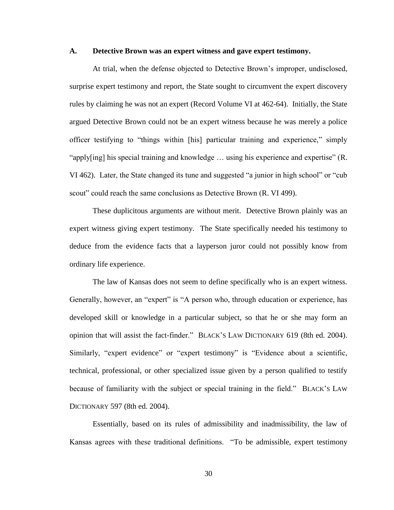#### **A. Detective Brown was an expert witness and gave expert testimony.**

At trial, when the defense objected to Detective Brown's improper, undisclosed, surprise expert testimony and report, the State sought to circumvent the expert discovery rules by claiming he was not an expert (Record Volume VI at 462-64). Initially, the State argued Detective Brown could not be an expert witness because he was merely a police officer testifying to "things within [his] particular training and experience," simply "apply[ing] his special training and knowledge … using his experience and expertise" (R. VI 462). Later, the State changed its tune and suggested "a junior in high school" or "cub scout" could reach the same conclusions as Detective Brown (R. VI 499).

These duplicitous arguments are without merit. Detective Brown plainly was an expert witness giving expert testimony. The State specifically needed his testimony to deduce from the evidence facts that a layperson juror could not possibly know from ordinary life experience.

The law of Kansas does not seem to define specifically who is an expert witness. Generally, however, an "expert" is "A person who, through education or experience, has developed skill or knowledge in a particular subject, so that he or she may form an opinion that will assist the fact-finder." BLACK'S LAW DICTIONARY 619 (8th ed. 2004). Similarly, "expert evidence" or "expert testimony" is "Evidence about a scientific, technical, professional, or other specialized issue given by a person qualified to testify because of familiarity with the subject or special training in the field." BLACK'S LAW DICTIONARY 597 (8th ed. 2004).

Essentially, based on its rules of admissibility and inadmissibility, the law of Kansas agrees with these traditional definitions. "To be admissible, expert testimony

30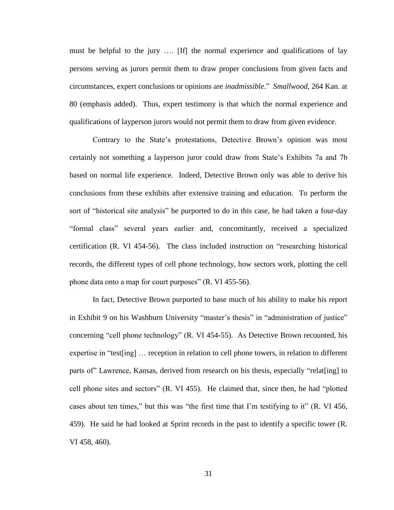must be helpful to the jury …. [If] the normal experience and qualifications of lay persons serving as jurors permit them to draw proper conclusions from given facts and circumstances, expert conclusions or opinions are *inadmissible*." *Smallwood*, 264 Kan. at 80 (emphasis added). Thus, expert testimony is that which the normal experience and qualifications of layperson jurors would not permit them to draw from given evidence.

Contrary to the State's protestations, Detective Brown's opinion was most certainly not something a layperson juror could draw from State's Exhibits 7a and 7b based on normal life experience. Indeed, Detective Brown only was able to derive his conclusions from these exhibits after extensive training and education. To perform the sort of "historical site analysis" he purported to do in this case, he had taken a four-day "formal class" several years earlier and, concomitantly, received a specialized certification (R. VI 454-56). The class included instruction on "researching historical records, the different types of cell phone technology, how sectors work, plotting the cell phone data onto a map for court purposes" (R. VI 455-56).

In fact, Detective Brown purported to base much of his ability to make his report in Exhibit 9 on his Washburn University "master's thesis" in "administration of justice" concerning "cell phone technology" (R. VI 454-55). As Detective Brown recounted, his expertise in "test[ing] … reception in relation to cell phone towers, in relation to different parts of" Lawrence, Kansas, derived from research on his thesis, especially "relat[ing] to cell phone sites and sectors" (R. VI 455). He claimed that, since then, he had "plotted cases about ten times," but this was "the first time that I'm testifying to it" (R. VI 456, 459). He said he had looked at Sprint records in the past to identify a specific tower (R. VI 458, 460).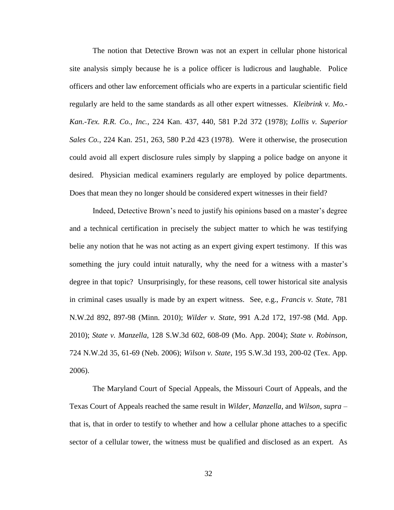The notion that Detective Brown was not an expert in cellular phone historical site analysis simply because he is a police officer is ludicrous and laughable. Police officers and other law enforcement officials who are experts in a particular scientific field regularly are held to the same standards as all other expert witnesses. *Kleibrink v. Mo.- Kan.-Tex. R.R. Co., Inc.*, 224 Kan. 437, 440, 581 P.2d 372 (1978); *Lollis v. Superior Sales Co.*, 224 Kan. 251, 263, 580 P.2d 423 (1978). Were it otherwise, the prosecution could avoid all expert disclosure rules simply by slapping a police badge on anyone it desired. Physician medical examiners regularly are employed by police departments. Does that mean they no longer should be considered expert witnesses in their field?

Indeed, Detective Brown's need to justify his opinions based on a master's degree and a technical certification in precisely the subject matter to which he was testifying belie any notion that he was not acting as an expert giving expert testimony. If this was something the jury could intuit naturally, why the need for a witness with a master's degree in that topic? Unsurprisingly, for these reasons, cell tower historical site analysis in criminal cases usually is made by an expert witness. See, e.g., *Francis v. State*, 781 N.W.2d 892, 897-98 (Minn. 2010); *Wilder v. State*, 991 A.2d 172, 197-98 (Md. App. 2010); *State v. Manzella*, 128 S.W.3d 602, 608-09 (Mo. App. 2004); *State v. Robinson*, 724 N.W.2d 35, 61-69 (Neb. 2006); *Wilson v. State*, 195 S.W.3d 193, 200-02 (Tex. App. 2006).

The Maryland Court of Special Appeals, the Missouri Court of Appeals, and the Texas Court of Appeals reached the same result in *Wilder, Manzella*, and *Wilson*, *supra* – that is, that in order to testify to whether and how a cellular phone attaches to a specific sector of a cellular tower, the witness must be qualified and disclosed as an expert. As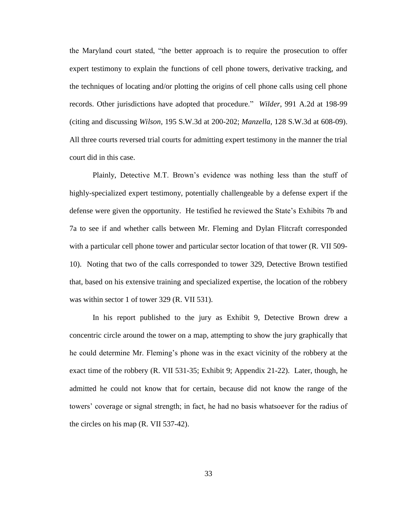the Maryland court stated, "the better approach is to require the prosecution to offer expert testimony to explain the functions of cell phone towers, derivative tracking, and the techniques of locating and/or plotting the origins of cell phone calls using cell phone records. Other jurisdictions have adopted that procedure." *Wilder*, 991 A.2d at 198-99 (citing and discussing *Wilson*, 195 S.W.3d at 200-202; *Manzella*, 128 S.W.3d at 608-09). All three courts reversed trial courts for admitting expert testimony in the manner the trial court did in this case.

Plainly, Detective M.T. Brown's evidence was nothing less than the stuff of highly-specialized expert testimony, potentially challengeable by a defense expert if the defense were given the opportunity. He testified he reviewed the State's Exhibits 7b and 7a to see if and whether calls between Mr. Fleming and Dylan Flitcraft corresponded with a particular cell phone tower and particular sector location of that tower (R. VII 509- 10). Noting that two of the calls corresponded to tower 329, Detective Brown testified that, based on his extensive training and specialized expertise, the location of the robbery was within sector 1 of tower 329 (R. VII 531).

In his report published to the jury as Exhibit 9, Detective Brown drew a concentric circle around the tower on a map, attempting to show the jury graphically that he could determine Mr. Fleming's phone was in the exact vicinity of the robbery at the exact time of the robbery (R. VII 531-35; Exhibit 9; Appendix 21-22). Later, though, he admitted he could not know that for certain, because did not know the range of the towers' coverage or signal strength; in fact, he had no basis whatsoever for the radius of the circles on his map (R. VII 537-42).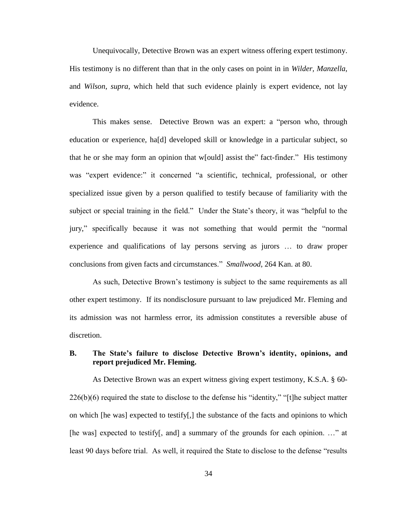Unequivocally, Detective Brown was an expert witness offering expert testimony. His testimony is no different than that in the only cases on point in in *Wilder, Manzella*, and *Wilson*, *supra*, which held that such evidence plainly is expert evidence, not lay evidence.

This makes sense. Detective Brown was an expert: a "person who, through education or experience, ha[d] developed skill or knowledge in a particular subject, so that he or she may form an opinion that w[ould] assist the" fact-finder." His testimony was "expert evidence:" it concerned "a scientific, technical, professional, or other specialized issue given by a person qualified to testify because of familiarity with the subject or special training in the field." Under the State's theory, it was "helpful to the jury," specifically because it was not something that would permit the "normal experience and qualifications of lay persons serving as jurors … to draw proper conclusions from given facts and circumstances." *Smallwood*, 264 Kan. at 80.

As such, Detective Brown's testimony is subject to the same requirements as all other expert testimony. If its nondisclosure pursuant to law prejudiced Mr. Fleming and its admission was not harmless error, its admission constitutes a reversible abuse of discretion.

# **B. The State's failure to disclose Detective Brown's identity, opinions, and report prejudiced Mr. Fleming.**

As Detective Brown was an expert witness giving expert testimony, K.S.A. § 60- 226(b)(6) required the state to disclose to the defense his "identity," "[t]he subject matter on which [he was] expected to testify[,] the substance of the facts and opinions to which [he was] expected to testify[, and] a summary of the grounds for each opinion. …" at least 90 days before trial. As well, it required the State to disclose to the defense "results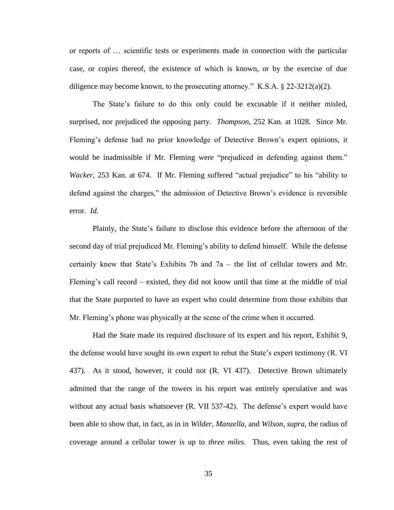or reports of … scientific tests or experiments made in connection with the particular case, or copies thereof, the existence of which is known, or by the exercise of due diligence may become known, to the prosecuting attorney." K.S.A.  $\S$  22-3212(a)(2).

The State's failure to do this only could be excusable if it neither misled, surprised, nor prejudiced the opposing party. *Thompson*, 252 Kan. at 1028. Since Mr. Fleming's defense had no prior knowledge of Detective Brown's expert opinions, it would be inadmissible if Mr. Fleming were "prejudiced in defending against them." *Wacker*, 253 Kan. at 674. If Mr. Fleming suffered "actual prejudice" to his "ability to defend against the charges," the admission of Detective Brown's evidence is reversible error. *Id.*

Plainly, the State's failure to disclose this evidence before the afternoon of the second day of trial prejudiced Mr. Fleming's ability to defend himself. While the defense certainly knew that State's Exhibits 7b and 7a – the list of cellular towers and Mr. Fleming's call record – existed, they did not know until that time at the middle of trial that the State purported to have an expert who could determine from those exhibits that Mr. Fleming's phone was physically at the scene of the crime when it occurred.

Had the State made its required disclosure of its expert and his report, Exhibit 9, the defense would have sought its own expert to rebut the State's expert testimony (R. VI 437). As it stood, however, it could not (R. VI 437). Detective Brown ultimately admitted that the range of the towers in his report was entirely speculative and was without any actual basis whatsoever (R. VII 537-42). The defense's expert would have been able to show that, in fact, as in in *Wilder, Manzella*, and *Wilson*, *supra*, the radius of coverage around a cellular tower is up to *three miles*. Thus, even taking the rest of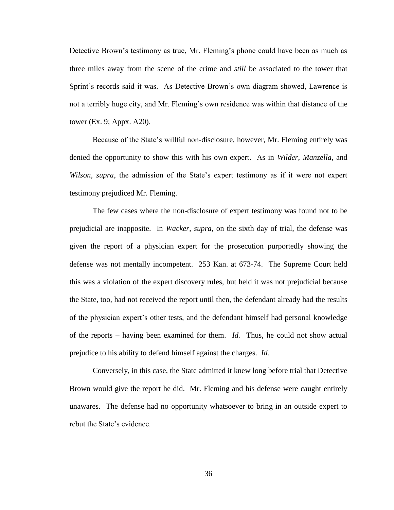Detective Brown's testimony as true, Mr. Fleming's phone could have been as much as three miles away from the scene of the crime and *still* be associated to the tower that Sprint's records said it was. As Detective Brown's own diagram showed, Lawrence is not a terribly huge city, and Mr. Fleming's own residence was within that distance of the tower (Ex. 9; Appx. A20).

Because of the State's willful non-disclosure, however, Mr. Fleming entirely was denied the opportunity to show this with his own expert. As in *Wilder*, *Manzella*, and *Wilson*, *supra*, the admission of the State's expert testimony as if it were not expert testimony prejudiced Mr. Fleming.

The few cases where the non-disclosure of expert testimony was found not to be prejudicial are inapposite. In *Wacker*, *supra*, on the sixth day of trial, the defense was given the report of a physician expert for the prosecution purportedly showing the defense was not mentally incompetent. 253 Kan. at 673-74. The Supreme Court held this was a violation of the expert discovery rules, but held it was not prejudicial because the State, too, had not received the report until then, the defendant already had the results of the physician expert's other tests, and the defendant himself had personal knowledge of the reports – having been examined for them. *Id.* Thus, he could not show actual prejudice to his ability to defend himself against the charges. *Id.*

Conversely, in this case, the State admitted it knew long before trial that Detective Brown would give the report he did. Mr. Fleming and his defense were caught entirely unawares. The defense had no opportunity whatsoever to bring in an outside expert to rebut the State's evidence.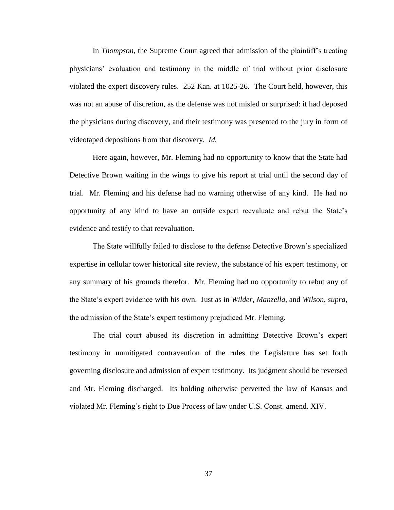In *Thompson*, the Supreme Court agreed that admission of the plaintiff's treating physicians' evaluation and testimony in the middle of trial without prior disclosure violated the expert discovery rules. 252 Kan. at 1025-26. The Court held, however, this was not an abuse of discretion, as the defense was not misled or surprised: it had deposed the physicians during discovery, and their testimony was presented to the jury in form of videotaped depositions from that discovery. *Id.*

Here again, however, Mr. Fleming had no opportunity to know that the State had Detective Brown waiting in the wings to give his report at trial until the second day of trial. Mr. Fleming and his defense had no warning otherwise of any kind. He had no opportunity of any kind to have an outside expert reevaluate and rebut the State's evidence and testify to that reevaluation.

The State willfully failed to disclose to the defense Detective Brown's specialized expertise in cellular tower historical site review, the substance of his expert testimony, or any summary of his grounds therefor. Mr. Fleming had no opportunity to rebut any of the State's expert evidence with his own. Just as in *Wilder, Manzella*, and *Wilson*, *supra*, the admission of the State's expert testimony prejudiced Mr. Fleming.

The trial court abused its discretion in admitting Detective Brown's expert testimony in unmitigated contravention of the rules the Legislature has set forth governing disclosure and admission of expert testimony. Its judgment should be reversed and Mr. Fleming discharged. Its holding otherwise perverted the law of Kansas and violated Mr. Fleming's right to Due Process of law under U.S. Const. amend. XIV.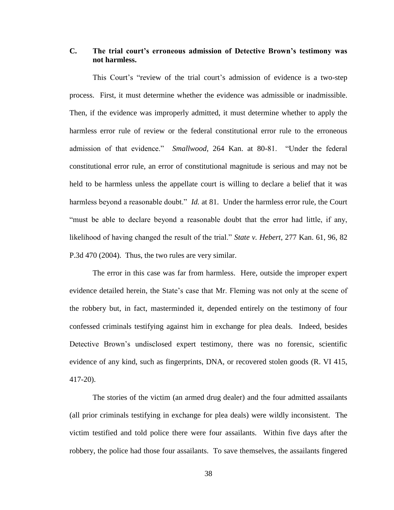# **C. The trial court's erroneous admission of Detective Brown's testimony was not harmless.**

This Court's "review of the trial court's admission of evidence is a two-step process. First, it must determine whether the evidence was admissible or inadmissible. Then, if the evidence was improperly admitted, it must determine whether to apply the harmless error rule of review or the federal constitutional error rule to the erroneous admission of that evidence." *Smallwood*, 264 Kan. at 80-81. "Under the federal constitutional error rule, an error of constitutional magnitude is serious and may not be held to be harmless unless the appellate court is willing to declare a belief that it was harmless beyond a reasonable doubt." *Id.* at 81. Under the harmless error rule, the Court "must be able to declare beyond a reasonable doubt that the error had little, if any, likelihood of having changed the result of the trial." *State v. Hebert*, 277 Kan. 61, 96, 82 P.3d 470 (2004). Thus, the two rules are very similar.

The error in this case was far from harmless. Here, outside the improper expert evidence detailed herein, the State's case that Mr. Fleming was not only at the scene of the robbery but, in fact, masterminded it, depended entirely on the testimony of four confessed criminals testifying against him in exchange for plea deals. Indeed, besides Detective Brown's undisclosed expert testimony, there was no forensic, scientific evidence of any kind, such as fingerprints, DNA, or recovered stolen goods (R. VI 415, 417-20).

The stories of the victim (an armed drug dealer) and the four admitted assailants (all prior criminals testifying in exchange for plea deals) were wildly inconsistent. The victim testified and told police there were four assailants. Within five days after the robbery, the police had those four assailants. To save themselves, the assailants fingered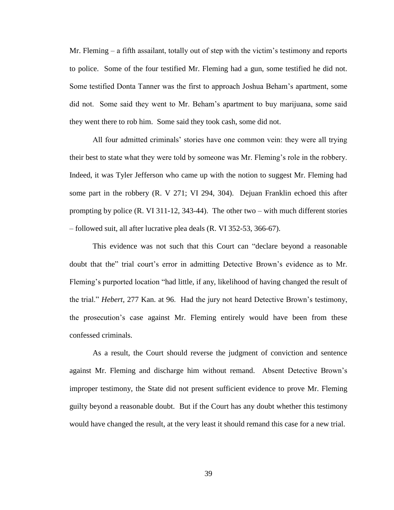Mr. Fleming – a fifth assailant, totally out of step with the victim's testimony and reports to police. Some of the four testified Mr. Fleming had a gun, some testified he did not. Some testified Donta Tanner was the first to approach Joshua Beham's apartment, some did not. Some said they went to Mr. Beham's apartment to buy marijuana, some said they went there to rob him. Some said they took cash, some did not.

All four admitted criminals' stories have one common vein: they were all trying their best to state what they were told by someone was Mr. Fleming's role in the robbery. Indeed, it was Tyler Jefferson who came up with the notion to suggest Mr. Fleming had some part in the robbery (R. V 271; VI 294, 304). Dejuan Franklin echoed this after prompting by police (R. VI 311-12, 343-44). The other two – with much different stories – followed suit, all after lucrative plea deals (R. VI 352-53, 366-67).

This evidence was not such that this Court can "declare beyond a reasonable doubt that the" trial court's error in admitting Detective Brown's evidence as to Mr. Fleming's purported location "had little, if any, likelihood of having changed the result of the trial." *Hebert*, 277 Kan. at 96. Had the jury not heard Detective Brown's testimony, the prosecution's case against Mr. Fleming entirely would have been from these confessed criminals.

As a result, the Court should reverse the judgment of conviction and sentence against Mr. Fleming and discharge him without remand. Absent Detective Brown's improper testimony, the State did not present sufficient evidence to prove Mr. Fleming guilty beyond a reasonable doubt. But if the Court has any doubt whether this testimony would have changed the result, at the very least it should remand this case for a new trial.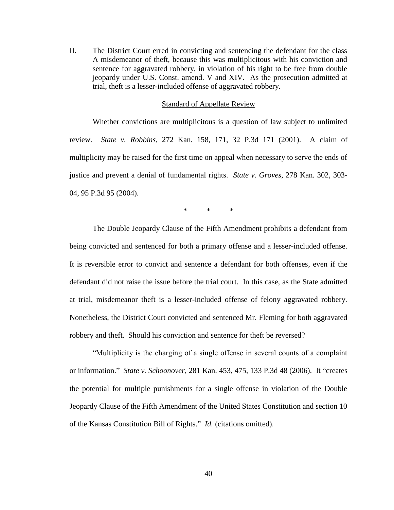II. The District Court erred in convicting and sentencing the defendant for the class A misdemeanor of theft, because this was multiplicitous with his conviction and sentence for aggravated robbery, in violation of his right to be free from double jeopardy under U.S. Const. amend. V and XIV. As the prosecution admitted at trial, theft is a lesser-included offense of aggravated robbery.

#### Standard of Appellate Review

Whether convictions are multiplicitous is a question of law subject to unlimited review. *State v. Robbins*, 272 Kan. 158, 171, 32 P.3d 171 (2001). A claim of multiplicity may be raised for the first time on appeal when necessary to serve the ends of justice and prevent a denial of fundamental rights. *State v. Groves*, 278 Kan. 302, 303- 04, 95 P.3d 95 (2004).

\* \* \*

The Double Jeopardy Clause of the Fifth Amendment prohibits a defendant from being convicted and sentenced for both a primary offense and a lesser-included offense. It is reversible error to convict and sentence a defendant for both offenses, even if the defendant did not raise the issue before the trial court. In this case, as the State admitted at trial, misdemeanor theft is a lesser-included offense of felony aggravated robbery. Nonetheless, the District Court convicted and sentenced Mr. Fleming for both aggravated robbery and theft. Should his conviction and sentence for theft be reversed?

"Multiplicity is the charging of a single offense in several counts of a complaint or information." *State v. Schoonover*, 281 Kan. 453, 475, 133 P.3d 48 (2006). It "creates the potential for multiple punishments for a single offense in violation of the Double Jeopardy Clause of the Fifth Amendment of the United States Constitution and section 10 of the Kansas Constitution Bill of Rights." *Id.* (citations omitted).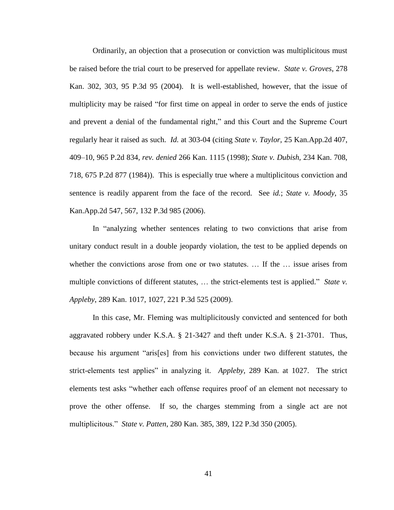Ordinarily, an objection that a prosecution or conviction was multiplicitous must be raised before the trial court to be preserved for appellate review. *State v. Groves*, 278 Kan. 302, 303, 95 P.3d 95 (2004). It is well-established, however, that the issue of multiplicity may be raised "for first time on appeal in order to serve the ends of justice and prevent a denial of the fundamental right," and this Court and the Supreme Court regularly hear it raised as such. *Id.* at 303-04 (citing *State v. Taylor,* 25 Kan.App.2d 407, 409–10, 965 P.2d 834, *rev. denied* 266 Kan. 1115 (1998); *State v. Dubish,* 234 Kan. 708, 718, 675 P.2d 877 (1984)). This is especially true where a multiplicitous conviction and sentence is readily apparent from the face of the record. See *id.*; *State v. Moody*, 35 Kan.App.2d 547, 567, 132 P.3d 985 (2006).

In "analyzing whether sentences relating to two convictions that arise from unitary conduct result in a double jeopardy violation, the test to be applied depends on whether the convictions arose from one or two statutes. … If the … issue arises from multiple convictions of different statutes, ... the strict-elements test is applied." *State v. Appleby*, 289 Kan. 1017, 1027, 221 P.3d 525 (2009).

In this case, Mr. Fleming was multiplicitously convicted and sentenced for both aggravated robbery under K.S.A. § 21-3427 and theft under K.S.A. § 21-3701. Thus, because his argument "aris[es] from his convictions under two different statutes, the strict-elements test applies" in analyzing it. *Appleby*, 289 Kan. at 1027. The strict elements test asks "whether each offense requires proof of an element not necessary to prove the other offense. If so, the charges stemming from a single act are not multiplicitous." *State v. Patten*, 280 Kan. 385, 389, 122 P.3d 350 (2005).

41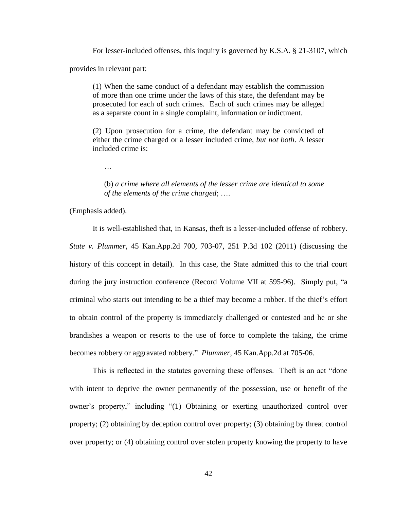For lesser-included offenses, this inquiry is governed by K.S.A. § 21-3107, which provides in relevant part:

(1) When the same conduct of a defendant may establish the commission of more than one crime under the laws of this state, the defendant may be prosecuted for each of such crimes. Each of such crimes may be alleged as a separate count in a single complaint, information or indictment.

(2) Upon prosecution for a crime, the defendant may be convicted of either the crime charged or a lesser included crime, *but not both*. A lesser included crime is:

(b) *a crime where all elements of the lesser crime are identical to some of the elements of the crime charged*; ….

(Emphasis added).

…

It is well-established that, in Kansas, theft is a lesser-included offense of robbery. *State v. Plummer*, 45 Kan.App.2d 700, 703-07, 251 P.3d 102 (2011) (discussing the history of this concept in detail). In this case, the State admitted this to the trial court during the jury instruction conference (Record Volume VII at 595-96). Simply put, "a criminal who starts out intending to be a thief may become a robber. If the thief's effort to obtain control of the property is immediately challenged or contested and he or she brandishes a weapon or resorts to the use of force to complete the taking, the crime becomes robbery or aggravated robbery." *Plummer*, 45 Kan.App.2d at 705-06.

This is reflected in the statutes governing these offenses. Theft is an act "done with intent to deprive the owner permanently of the possession, use or benefit of the owner's property," including "(1) Obtaining or exerting unauthorized control over property; (2) obtaining by deception control over property; (3) obtaining by threat control over property; or (4) obtaining control over stolen property knowing the property to have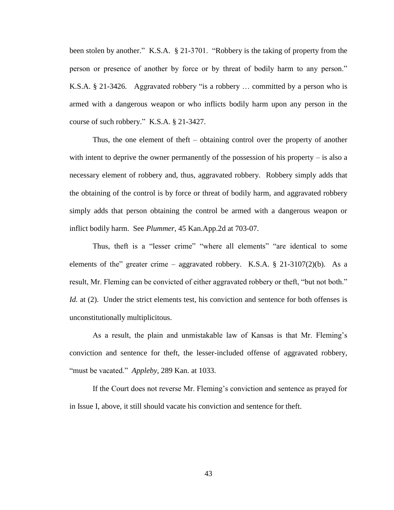been stolen by another." K.S.A. § 21-3701. "Robbery is the taking of property from the person or presence of another by force or by threat of bodily harm to any person." K.S.A. § 21-3426. Aggravated robbery "is a robbery … committed by a person who is armed with a dangerous weapon or who inflicts bodily harm upon any person in the course of such robbery." K.S.A. § 21-3427.

Thus, the one element of theft – obtaining control over the property of another with intent to deprive the owner permanently of the possession of his property  $-$  is also a necessary element of robbery and, thus, aggravated robbery. Robbery simply adds that the obtaining of the control is by force or threat of bodily harm, and aggravated robbery simply adds that person obtaining the control be armed with a dangerous weapon or inflict bodily harm. See *Plummer*, 45 Kan.App.2d at 703-07.

Thus, theft is a "lesser crime" "where all elements" "are identical to some elements of the" greater crime – aggravated robbery. K.S.A.  $\S$  21-3107(2)(b). As a result, Mr. Fleming can be convicted of either aggravated robbery or theft, "but not both." *Id.* at (2). Under the strict elements test, his conviction and sentence for both offenses is unconstitutionally multiplicitous.

As a result, the plain and unmistakable law of Kansas is that Mr. Fleming's conviction and sentence for theft, the lesser-included offense of aggravated robbery, "must be vacated." *Appleby*, 289 Kan. at 1033.

If the Court does not reverse Mr. Fleming's conviction and sentence as prayed for in Issue I, above, it still should vacate his conviction and sentence for theft.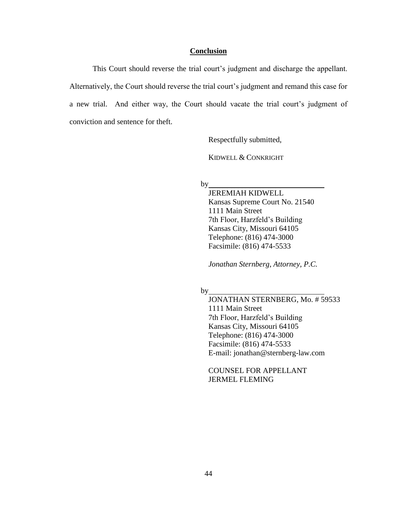## **Conclusion**

This Court should reverse the trial court's judgment and discharge the appellant. Alternatively, the Court should reverse the trial court's judgment and remand this case for a new trial. And either way, the Court should vacate the trial court's judgment of conviction and sentence for theft.

Respectfully submitted,

KIDWELL & CONKRIGHT

by

JEREMIAH KIDWELL Kansas Supreme Court No. 21540 1111 Main Street 7th Floor, Harzfeld's Building Kansas City, Missouri 64105 Telephone: (816) 474-3000 Facsimile: (816) 474-5533

*Jonathan Sternberg, Attorney, P.C.*

by

JONATHAN STERNBERG, Mo. # 59533 1111 Main Street 7th Floor, Harzfeld's Building Kansas City, Missouri 64105 Telephone: (816) 474-3000 Facsimile: (816) 474-5533 E-mail: jonathan@sternberg-law.com

COUNSEL FOR APPELLANT JERMEL FLEMING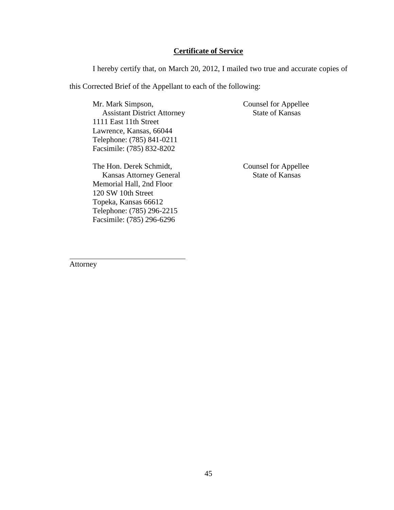## **Certificate of Service**

I hereby certify that, on March 20, 2012, I mailed two true and accurate copies of

this Corrected Brief of the Appellant to each of the following:

Mr. Mark Simpson, Assistant District Attorney 1111 East 11th Street Lawrence, Kansas, 66044 Telephone: (785) 841-0211 Facsimile: (785) 832-8202

Counsel for Appellee State of Kansas

The Hon. Derek Schmidt, Kansas Attorney General Memorial Hall, 2nd Floor 120 SW 10th Street Topeka, Kansas 66612 Telephone: (785) 296-2215 Facsimile: (785) 296-6296

Counsel for Appellee State of Kansas

Attorney